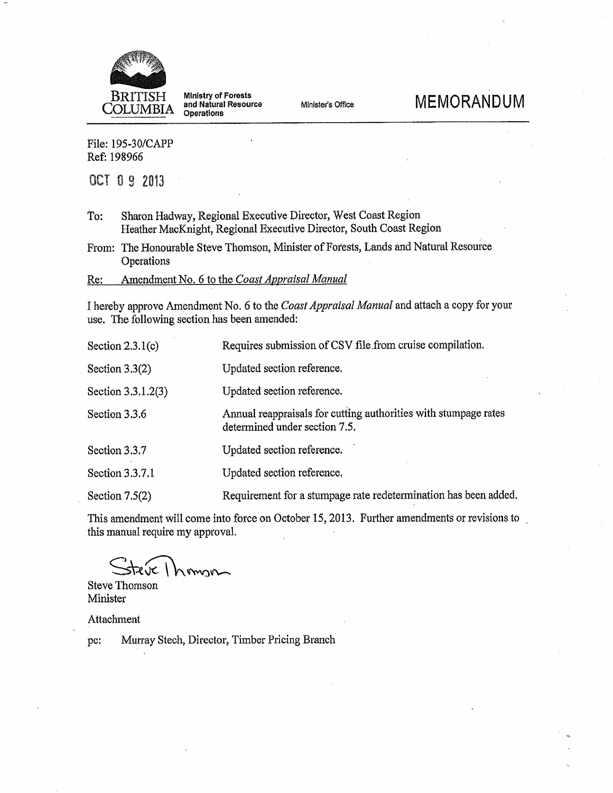

**Ministry of Forests<br>and Natural Resource** Operations

Minister's Office

# **MEMORANDUM**

File: 195-30/CAPP Ref: 198966

OCT 0 9 2013

Sharon Hadway, Regional Executive Director, West Coast Region To: Heather MacKnight, Regional Executive Director, South Coast Region

From: The Honourable Steve Thomson, Minister of Forests, Lands and Natural Resource Operations

Amendment No. 6 to the Coast Appraisal Manual Re:

I hereby approve Amendment No. 6 to the Coast Appraisal Manual and attach a copy for your use. The following section has been amended:

| Section $2.3.1(c)$ | Requires submission of CSV file from cruise compilation.                                         |
|--------------------|--------------------------------------------------------------------------------------------------|
| Section $3.3(2)$   | Updated section reference.                                                                       |
| Section 3.3.1.2(3) | Updated section reference.                                                                       |
| Section 3.3.6      | Annual reappraisals for cutting authorities with stumpage rates<br>determined under section 7.5. |
| Section 3.3.7      | Updated section reference.                                                                       |
| Section 3.3.7.1    | Updated section reference.                                                                       |
| Section $7.5(2)$   | Requirement for a stumpage rate redetermination has been added.                                  |

This amendment will come into force on October 15, 2013. Further amendments or revisions to this manual require my approval.

**Steve Thomson** Minister

Attachment

Murray Stech, Director, Timber Pricing Branch pc: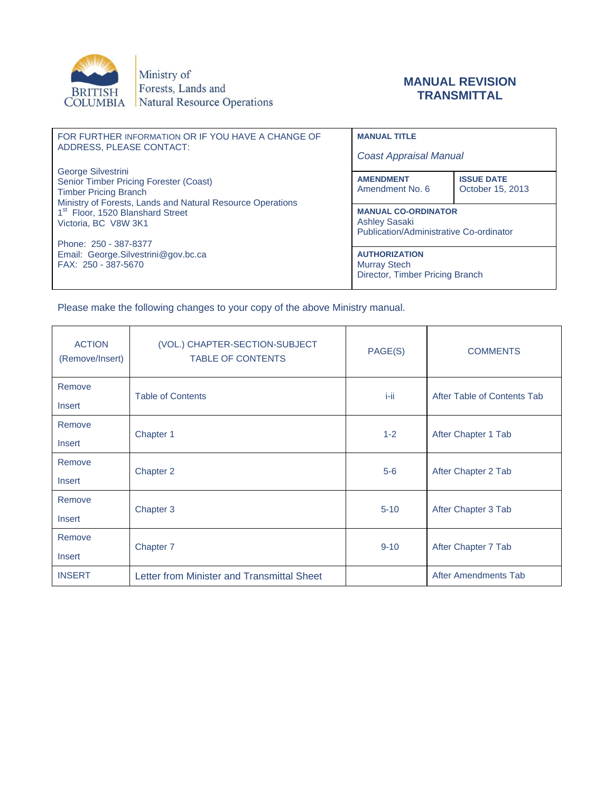

Ministry of Forests, Lands and BRITISH Forests, Lands and<br>COLUMBIA Natural Resource Operations

#### **MANUAL REVISION TRANSMITTAL**

| FOR FURTHER INFORMATION OR IF YOU HAVE A CHANGE OF<br>ADDRESS, PLEASE CONTACT: | <b>MANUAL TITLE</b>                                             |                   |  |
|--------------------------------------------------------------------------------|-----------------------------------------------------------------|-------------------|--|
|                                                                                | <b>Coast Appraisal Manual</b>                                   |                   |  |
| George Silvestrini                                                             |                                                                 |                   |  |
| Senior Timber Pricing Forester (Coast)                                         | <b>AMENDMENT</b>                                                | <b>ISSUE DATE</b> |  |
| <b>Timber Pricing Branch</b>                                                   | Amendment No. 6                                                 | October 15, 2013  |  |
| Ministry of Forests, Lands and Natural Resource Operations                     |                                                                 |                   |  |
| 1 <sup>st</sup> Floor, 1520 Blanshard Street                                   | <b>MANUAL CO-ORDINATOR</b>                                      |                   |  |
| Victoria, BC V8W 3K1                                                           | <b>Ashley Sasaki</b><br>Publication/Administrative Co-ordinator |                   |  |
|                                                                                |                                                                 |                   |  |
| Phone: 250 - 387-8377                                                          |                                                                 |                   |  |
| Email: George.Silvestrini@gov.bc.ca                                            | <b>AUTHORIZATION</b>                                            |                   |  |
| FAX: 250 - 387-5670                                                            | <b>Murray Stech</b>                                             |                   |  |
|                                                                                | Director, Timber Pricing Branch                                 |                   |  |
|                                                                                |                                                                 |                   |  |

Please make the following changes to your copy of the above Ministry manual.

| <b>ACTION</b><br>(Remove/Insert) | (VOL.) CHAPTER-SECTION-SUBJECT<br><b>TABLE OF CONTENTS</b> | PAGE(S)  | <b>COMMENTS</b>             |  |
|----------------------------------|------------------------------------------------------------|----------|-----------------------------|--|
| Remove                           | <b>Table of Contents</b>                                   | i-ii     | After Table of Contents Tab |  |
| Insert                           |                                                            |          |                             |  |
| Remove                           | Chapter 1                                                  | $1 - 2$  | After Chapter 1 Tab         |  |
| Insert                           |                                                            |          |                             |  |
| Remove                           | Chapter 2                                                  | $5-6$    |                             |  |
| Insert                           |                                                            |          | After Chapter 2 Tab         |  |
| Remove                           | Chapter 3                                                  | $5 - 10$ | After Chapter 3 Tab         |  |
| Insert                           |                                                            |          |                             |  |
| Remove                           |                                                            | $9 - 10$ | After Chapter 7 Tab         |  |
| Insert                           | Chapter 7                                                  |          |                             |  |
| <b>INSERT</b>                    | Letter from Minister and Transmittal Sheet                 |          | After Amendments Tab        |  |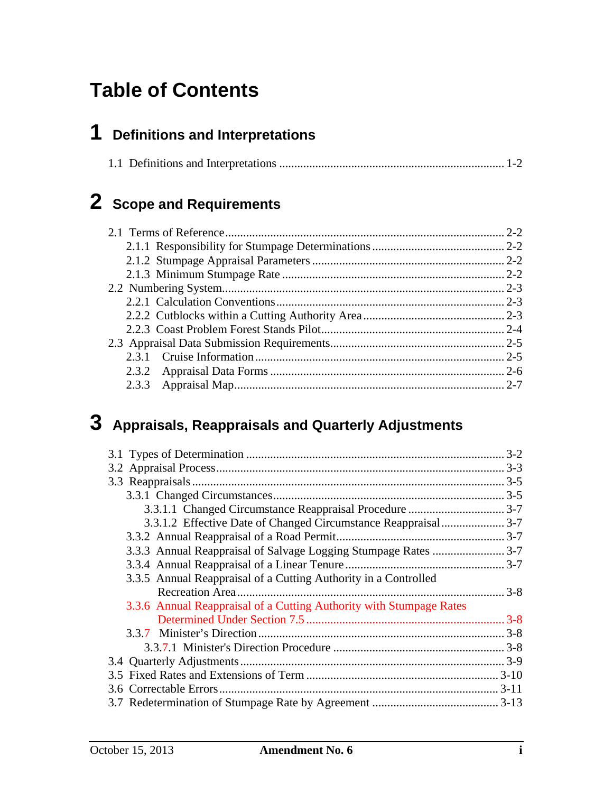# **Table of Contents**

# **1 Definitions and Interpretations**

# **2 Scope and Requirements**

# **3 Appraisals, Reappraisals and Quarterly Adjustments**

|                                                                     | $3 - 2$ |
|---------------------------------------------------------------------|---------|
|                                                                     |         |
|                                                                     |         |
|                                                                     |         |
|                                                                     |         |
| 3.3.1.2 Effective Date of Changed Circumstance Reappraisal 3-7      |         |
|                                                                     |         |
|                                                                     |         |
|                                                                     |         |
| 3.3.5 Annual Reappraisal of a Cutting Authority in a Controlled     |         |
|                                                                     | $3 - 8$ |
| 3.3.6 Annual Reappraisal of a Cutting Authority with Stumpage Rates |         |
|                                                                     |         |
|                                                                     |         |
|                                                                     |         |
|                                                                     |         |
|                                                                     |         |
|                                                                     |         |
|                                                                     |         |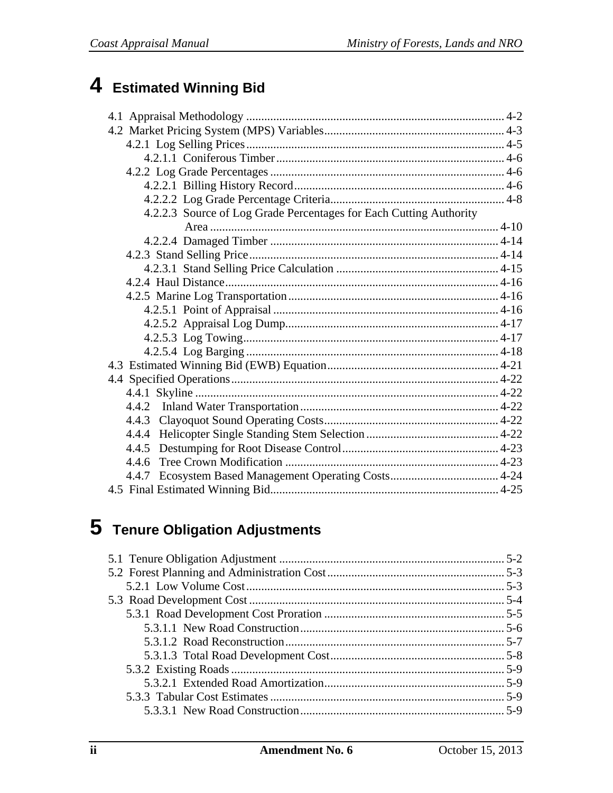# 4 Estimated Winning Bid

| 4.2.2.3 Source of Log Grade Percentages for Each Cutting Authority |  |
|--------------------------------------------------------------------|--|
|                                                                    |  |
|                                                                    |  |
|                                                                    |  |
|                                                                    |  |
|                                                                    |  |
|                                                                    |  |
|                                                                    |  |
|                                                                    |  |
|                                                                    |  |
|                                                                    |  |
|                                                                    |  |
|                                                                    |  |
|                                                                    |  |
|                                                                    |  |
|                                                                    |  |
|                                                                    |  |
|                                                                    |  |
| 4.4.6                                                              |  |
|                                                                    |  |
|                                                                    |  |

# 5 Tenure Obligation Adjustments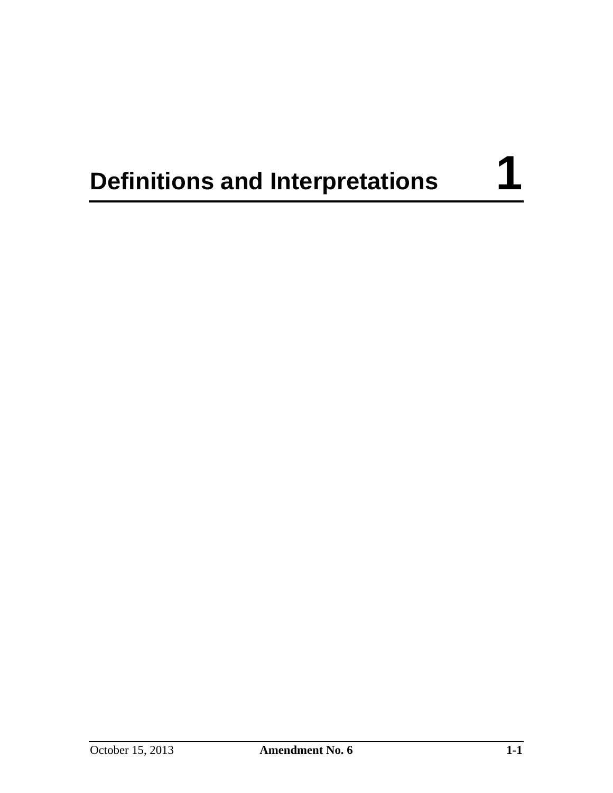# **Definitions and Interpretations** 1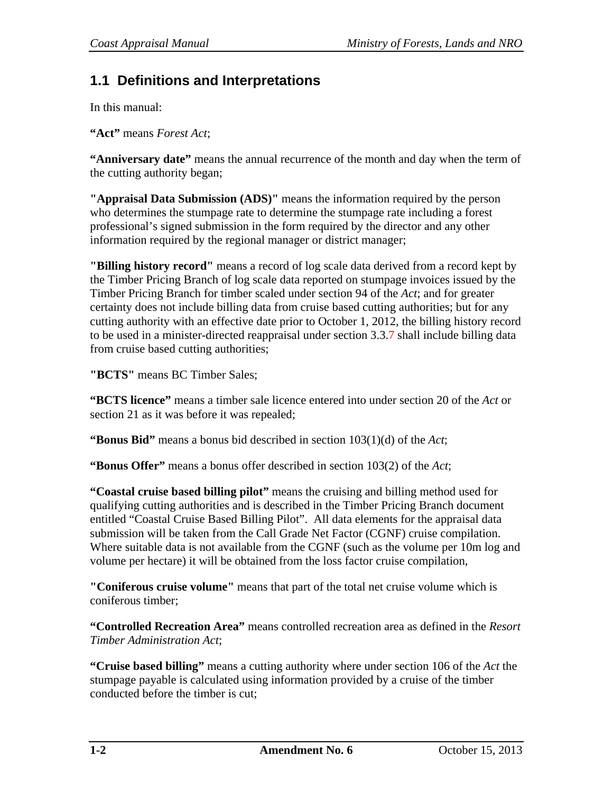## **1.1 Definitions and Interpretations**

In this manual:

**"Act"** means *Forest Act*;

**"Anniversary date"** means the annual recurrence of the month and day when the term of the cutting authority began;

**"Appraisal Data Submission (ADS)"** means the information required by the person who determines the stumpage rate to determine the stumpage rate including a forest professional's signed submission in the form required by the director and any other information required by the regional manager or district manager;

**"Billing history record"** means a record of log scale data derived from a record kept by the Timber Pricing Branch of log scale data reported on stumpage invoices issued by the Timber Pricing Branch for timber scaled under section 94 of the *Act*; and for greater certainty does not include billing data from cruise based cutting authorities; but for any cutting authority with an effective date prior to October 1, 2012, the billing history record to be used in a minister-directed reappraisal under section 3.3.7 shall include billing data from cruise based cutting authorities;

**"BCTS"** means BC Timber Sales;

**"BCTS licence"** means a timber sale licence entered into under section 20 of the *Act* or section 21 as it was before it was repealed;

**"Bonus Bid"** means a bonus bid described in section 103(1)(d) of the *Act*;

**"Bonus Offer"** means a bonus offer described in section 103(2) of the *Act*;

**"Coastal cruise based billing pilot"** means the cruising and billing method used for qualifying cutting authorities and is described in the Timber Pricing Branch document entitled "Coastal Cruise Based Billing Pilot". All data elements for the appraisal data submission will be taken from the Call Grade Net Factor (CGNF) cruise compilation. Where suitable data is not available from the CGNF (such as the volume per 10m log and volume per hectare) it will be obtained from the loss factor cruise compilation,

**"Coniferous cruise volume"** means that part of the total net cruise volume which is coniferous timber;

**"Controlled Recreation Area"** means controlled recreation area as defined in the *Resort Timber Administration Act*;

**"Cruise based billing"** means a cutting authority where under section 106 of the *Act* the stumpage payable is calculated using information provided by a cruise of the timber conducted before the timber is cut;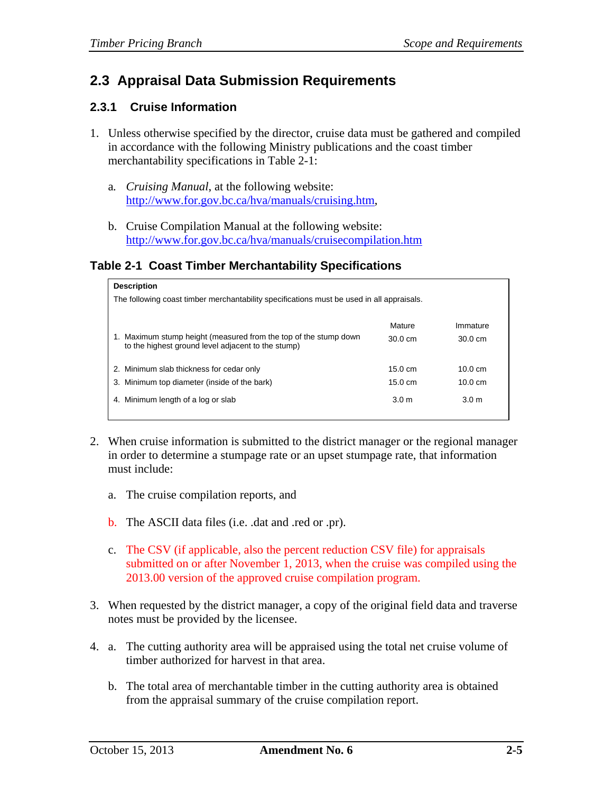## **2.3 Appraisal Data Submission Requirements**

#### **2.3.1 Cruise Information**

- 1. Unless otherwise specified by the director, cruise data must be gathered and compiled in accordance with the following Ministry publications and the coast timber merchantability specifications in Table 2-1:
	- a*. Cruising Manual*, at the following website: http://www.for.gov.bc.ca/hva/manuals/cruising.htm,
	- b. Cruise Compilation Manual at the following website: http://www.for.gov.bc.ca/hva/manuals/cruisecompilation.htm

#### **Table 2-1 Coast Timber Merchantability Specifications**

| <b>Description</b>                                                                                                     |                   |                   |  |
|------------------------------------------------------------------------------------------------------------------------|-------------------|-------------------|--|
| The following coast timber merchantability specifications must be used in all appraisals.                              |                   |                   |  |
|                                                                                                                        |                   |                   |  |
|                                                                                                                        | Mature            | Immature          |  |
| 1. Maximum stump height (measured from the top of the stump down<br>to the highest ground level adjacent to the stump) | $30.0 \text{ cm}$ | $30.0 \text{ cm}$ |  |
|                                                                                                                        |                   |                   |  |
| 2. Minimum slab thickness for cedar only                                                                               | $15.0 \text{ cm}$ | 10.0 $cm$         |  |
| 3. Minimum top diameter (inside of the bark)                                                                           | $15.0 \text{ cm}$ | $10.0 \text{ cm}$ |  |
| 4. Minimum length of a log or slab                                                                                     | 3.0 <sub>m</sub>  | 3.0 <sub>m</sub>  |  |
|                                                                                                                        |                   |                   |  |

- 2. When cruise information is submitted to the district manager or the regional manager in order to determine a stumpage rate or an upset stumpage rate, that information must include:
	- a. The cruise compilation reports, and
	- b. The ASCII data files (i.e. .dat and .red or .pr).
	- c. The CSV (if applicable, also the percent reduction CSV file) for appraisals submitted on or after November 1, 2013, when the cruise was compiled using the 2013.00 version of the approved cruise compilation program.
- 3. When requested by the district manager, a copy of the original field data and traverse notes must be provided by the licensee.
- 4. a. The cutting authority area will be appraised using the total net cruise volume of timber authorized for harvest in that area.
	- b. The total area of merchantable timber in the cutting authority area is obtained from the appraisal summary of the cruise compilation report.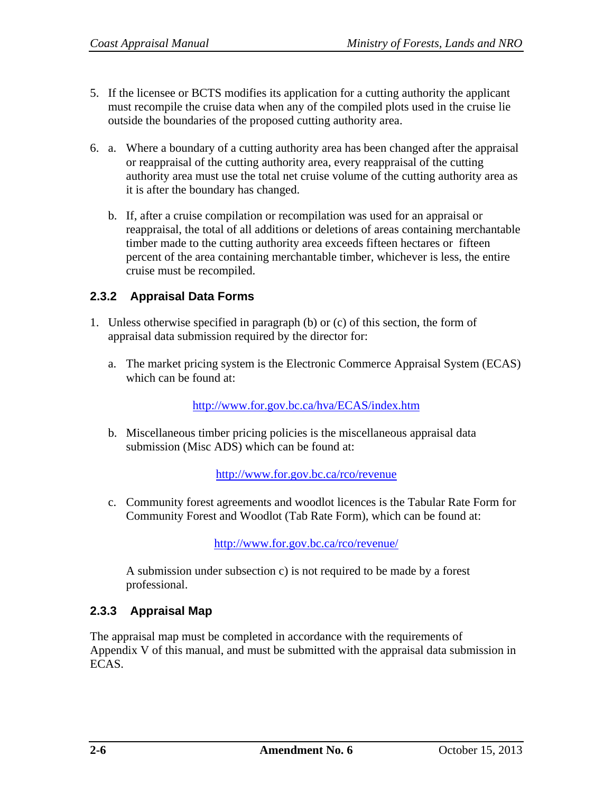- 5. If the licensee or BCTS modifies its application for a cutting authority the applicant must recompile the cruise data when any of the compiled plots used in the cruise lie outside the boundaries of the proposed cutting authority area.
- 6. a. Where a boundary of a cutting authority area has been changed after the appraisal or reappraisal of the cutting authority area, every reappraisal of the cutting authority area must use the total net cruise volume of the cutting authority area as it is after the boundary has changed.
	- b. If, after a cruise compilation or recompilation was used for an appraisal or reappraisal, the total of all additions or deletions of areas containing merchantable timber made to the cutting authority area exceeds fifteen hectares or fifteen percent of the area containing merchantable timber, whichever is less, the entire cruise must be recompiled.

#### **2.3.2 Appraisal Data Forms**

- 1. Unless otherwise specified in paragraph (b) or (c) of this section, the form of appraisal data submission required by the director for:
	- a. The market pricing system is the Electronic Commerce Appraisal System (ECAS) which can be found at:

http://www.for.gov.bc.ca/hva/ECAS/index.htm

b. Miscellaneous timber pricing policies is the miscellaneous appraisal data submission (Misc ADS) which can be found at:

http://www.for.gov.bc.ca/rco/revenue

c. Community forest agreements and woodlot licences is the Tabular Rate Form for Community Forest and Woodlot (Tab Rate Form), which can be found at:

http://www.for.gov.bc.ca/rco/revenue/

A submission under subsection c) is not required to be made by a forest professional.

#### **2.3.3 Appraisal Map**

The appraisal map must be completed in accordance with the requirements of Appendix V of this manual, and must be submitted with the appraisal data submission in ECAS.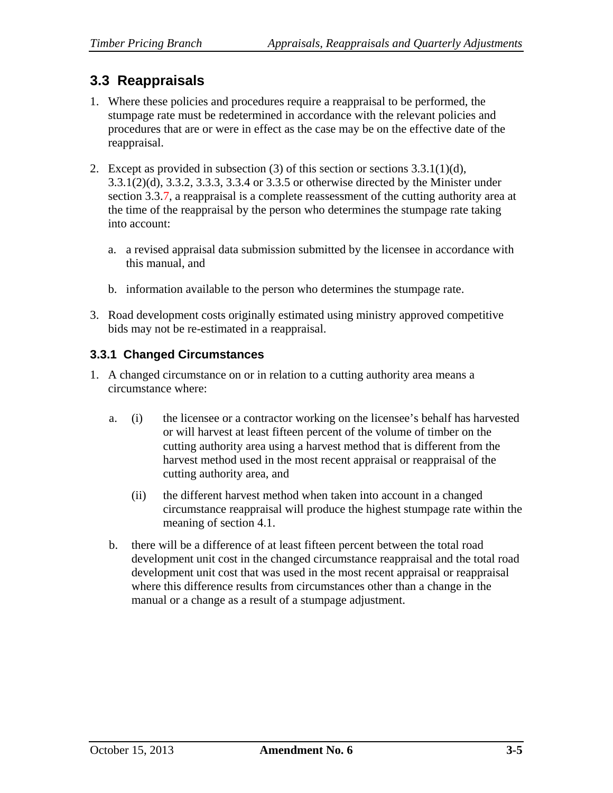## **3.3 Reappraisals**

- 1. Where these policies and procedures require a reappraisal to be performed, the stumpage rate must be redetermined in accordance with the relevant policies and procedures that are or were in effect as the case may be on the effective date of the reappraisal.
- 2. Except as provided in subsection (3) of this section or sections  $3.3.1(1)(d)$ , 3.3.1(2)(d), 3.3.2, 3.3.3, 3.3.4 or 3.3.5 or otherwise directed by the Minister under section 3.3.7, a reappraisal is a complete reassessment of the cutting authority area at the time of the reappraisal by the person who determines the stumpage rate taking into account:
	- a. a revised appraisal data submission submitted by the licensee in accordance with this manual, and
	- b. information available to the person who determines the stumpage rate.
- 3. Road development costs originally estimated using ministry approved competitive bids may not be re-estimated in a reappraisal.

#### **3.3.1 Changed Circumstances**

- 1. A changed circumstance on or in relation to a cutting authority area means a circumstance where:
	- a. (i) the licensee or a contractor working on the licensee's behalf has harvested or will harvest at least fifteen percent of the volume of timber on the cutting authority area using a harvest method that is different from the harvest method used in the most recent appraisal or reappraisal of the cutting authority area, and
		- (ii) the different harvest method when taken into account in a changed circumstance reappraisal will produce the highest stumpage rate within the meaning of section 4.1.
	- b. there will be a difference of at least fifteen percent between the total road development unit cost in the changed circumstance reappraisal and the total road development unit cost that was used in the most recent appraisal or reappraisal where this difference results from circumstances other than a change in the manual or a change as a result of a stumpage adjustment.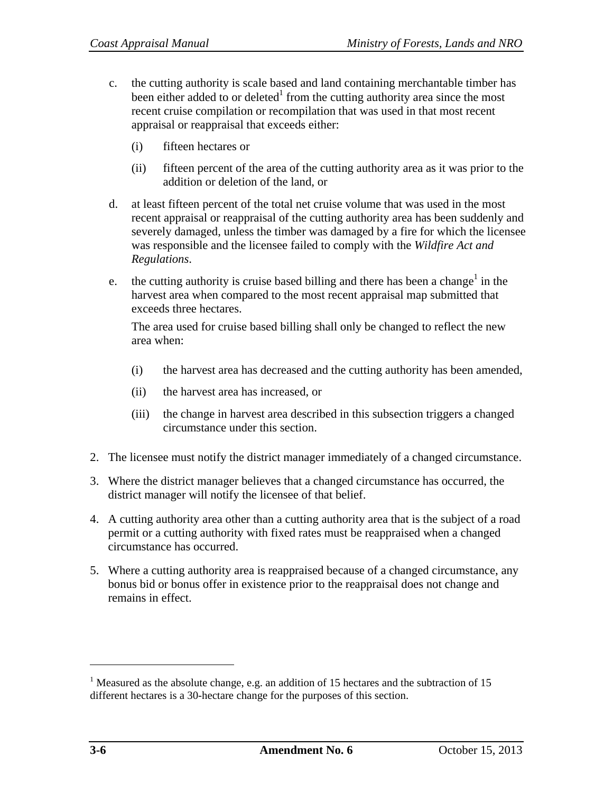- c. the cutting authority is scale based and land containing merchantable timber has been either added to or deleted<sup>1</sup> from the cutting authority area since the most recent cruise compilation or recompilation that was used in that most recent appraisal or reappraisal that exceeds either:
	- (i) fifteen hectares or
	- (ii) fifteen percent of the area of the cutting authority area as it was prior to the addition or deletion of the land, or
- d. at least fifteen percent of the total net cruise volume that was used in the most recent appraisal or reappraisal of the cutting authority area has been suddenly and severely damaged, unless the timber was damaged by a fire for which the licensee was responsible and the licensee failed to comply with the *Wildfire Act and Regulations*.
- e. the cutting authority is cruise based billing and there has been a change<sup>1</sup> in the harvest area when compared to the most recent appraisal map submitted that exceeds three hectares.

The area used for cruise based billing shall only be changed to reflect the new area when:

- (i) the harvest area has decreased and the cutting authority has been amended,
- (ii) the harvest area has increased, or
- (iii) the change in harvest area described in this subsection triggers a changed circumstance under this section.
- 2. The licensee must notify the district manager immediately of a changed circumstance.
- 3. Where the district manager believes that a changed circumstance has occurred, the district manager will notify the licensee of that belief.
- 4. A cutting authority area other than a cutting authority area that is the subject of a road permit or a cutting authority with fixed rates must be reappraised when a changed circumstance has occurred.
- 5. Where a cutting authority area is reappraised because of a changed circumstance, any bonus bid or bonus offer in existence prior to the reappraisal does not change and remains in effect.

 $\overline{a}$ 

<sup>&</sup>lt;sup>1</sup> Measured as the absolute change, e.g. an addition of 15 hectares and the subtraction of 15 different hectares is a 30-hectare change for the purposes of this section.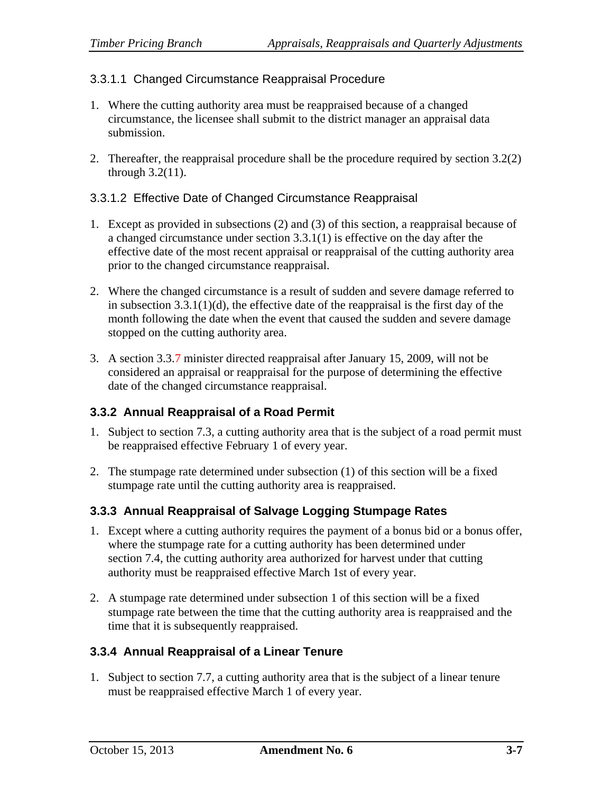#### 3.3.1.1 Changed Circumstance Reappraisal Procedure

- 1. Where the cutting authority area must be reappraised because of a changed circumstance, the licensee shall submit to the district manager an appraisal data submission.
- 2. Thereafter, the reappraisal procedure shall be the procedure required by section 3.2(2) through 3.2(11).

#### 3.3.1.2 Effective Date of Changed Circumstance Reappraisal

- 1. Except as provided in subsections (2) and (3) of this section, a reappraisal because of a changed circumstance under section 3.3.1(1) is effective on the day after the effective date of the most recent appraisal or reappraisal of the cutting authority area prior to the changed circumstance reappraisal.
- 2. Where the changed circumstance is a result of sudden and severe damage referred to in subsection  $3.3.1(1)(d)$ , the effective date of the reappraisal is the first day of the month following the date when the event that caused the sudden and severe damage stopped on the cutting authority area.
- 3. A section 3.3.7 minister directed reappraisal after January 15, 2009, will not be considered an appraisal or reappraisal for the purpose of determining the effective date of the changed circumstance reappraisal.

#### **3.3.2 Annual Reappraisal of a Road Permit**

- 1. Subject to section 7.3, a cutting authority area that is the subject of a road permit must be reappraised effective February 1 of every year.
- 2. The stumpage rate determined under subsection (1) of this section will be a fixed stumpage rate until the cutting authority area is reappraised.

#### **3.3.3 Annual Reappraisal of Salvage Logging Stumpage Rates**

- 1. Except where a cutting authority requires the payment of a bonus bid or a bonus offer, where the stumpage rate for a cutting authority has been determined under section 7.4, the cutting authority area authorized for harvest under that cutting authority must be reappraised effective March 1st of every year.
- 2. A stumpage rate determined under subsection 1 of this section will be a fixed stumpage rate between the time that the cutting authority area is reappraised and the time that it is subsequently reappraised.

#### **3.3.4 Annual Reappraisal of a Linear Tenure**

1. Subject to section 7.7, a cutting authority area that is the subject of a linear tenure must be reappraised effective March 1 of every year.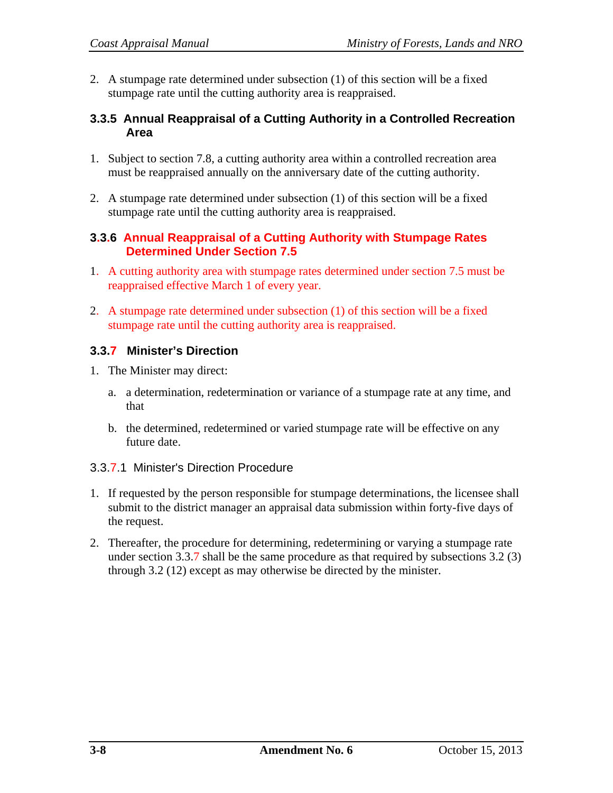2. A stumpage rate determined under subsection (1) of this section will be a fixed stumpage rate until the cutting authority area is reappraised.

#### **3.3.5 Annual Reappraisal of a Cutting Authority in a Controlled Recreation Area**

- 1. Subject to section 7.8, a cutting authority area within a controlled recreation area must be reappraised annually on the anniversary date of the cutting authority.
- 2. A stumpage rate determined under subsection (1) of this section will be a fixed stumpage rate until the cutting authority area is reappraised.

#### **3.3.6 Annual Reappraisal of a Cutting Authority with Stumpage Rates Determined Under Section 7.5**

- 1. A cutting authority area with stumpage rates determined under section 7.5 must be reappraised effective March 1 of every year.
- 2. A stumpage rate determined under subsection (1) of this section will be a fixed stumpage rate until the cutting authority area is reappraised.

#### **3.3.7 Minister's Direction**

- 1. The Minister may direct:
	- a. a determination, redetermination or variance of a stumpage rate at any time, and that
	- b. the determined, redetermined or varied stumpage rate will be effective on any future date.

#### 3.3.7.1 Minister's Direction Procedure

- 1. If requested by the person responsible for stumpage determinations, the licensee shall submit to the district manager an appraisal data submission within forty-five days of the request.
- 2. Thereafter, the procedure for determining, redetermining or varying a stumpage rate under section 3.3.7 shall be the same procedure as that required by subsections 3.2 (3) through 3.2 (12) except as may otherwise be directed by the minister.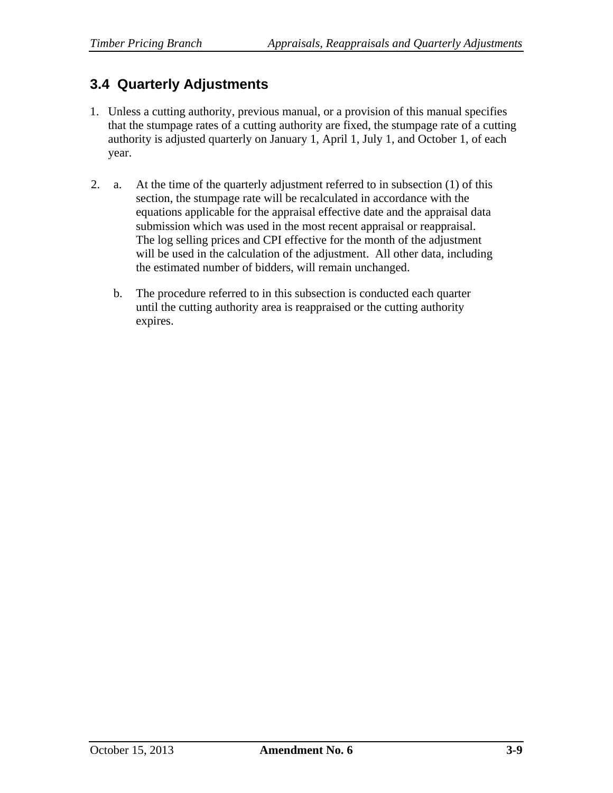## **3.4 Quarterly Adjustments**

- 1. Unless a cutting authority, previous manual, or a provision of this manual specifies that the stumpage rates of a cutting authority are fixed, the stumpage rate of a cutting authority is adjusted quarterly on January 1, April 1, July 1, and October 1, of each year.
- 2. a. At the time of the quarterly adjustment referred to in subsection (1) of this section, the stumpage rate will be recalculated in accordance with the equations applicable for the appraisal effective date and the appraisal data submission which was used in the most recent appraisal or reappraisal. The log selling prices and CPI effective for the month of the adjustment will be used in the calculation of the adjustment. All other data, including the estimated number of bidders, will remain unchanged.
	- b. The procedure referred to in this subsection is conducted each quarter until the cutting authority area is reappraised or the cutting authority expires.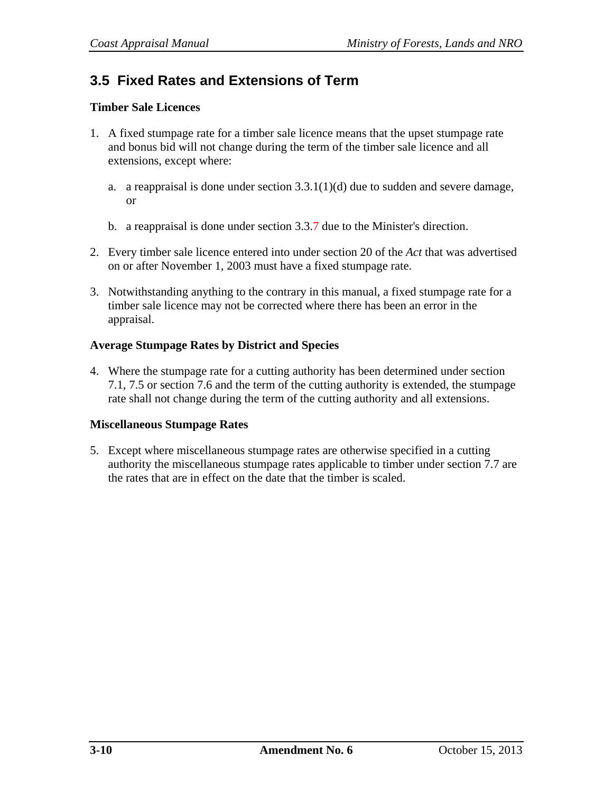## **3.5 Fixed Rates and Extensions of Term**

#### **Timber Sale Licences**

- 1. A fixed stumpage rate for a timber sale licence means that the upset stumpage rate and bonus bid will not change during the term of the timber sale licence and all extensions, except where:
	- a. a reappraisal is done under section  $3.3.1(1)(d)$  due to sudden and severe damage, or
	- b. a reappraisal is done under section 3.3.7 due to the Minister's direction.
- 2. Every timber sale licence entered into under section 20 of the *Act* that was advertised on or after November 1, 2003 must have a fixed stumpage rate.
- 3. Notwithstanding anything to the contrary in this manual, a fixed stumpage rate for a timber sale licence may not be corrected where there has been an error in the appraisal.

#### **Average Stumpage Rates by District and Species**

4. Where the stumpage rate for a cutting authority has been determined under section 7.1, 7.5 or section 7.6 and the term of the cutting authority is extended, the stumpage rate shall not change during the term of the cutting authority and all extensions.

#### **Miscellaneous Stumpage Rates**

5. Except where miscellaneous stumpage rates are otherwise specified in a cutting authority the miscellaneous stumpage rates applicable to timber under section 7.7 are the rates that are in effect on the date that the timber is scaled.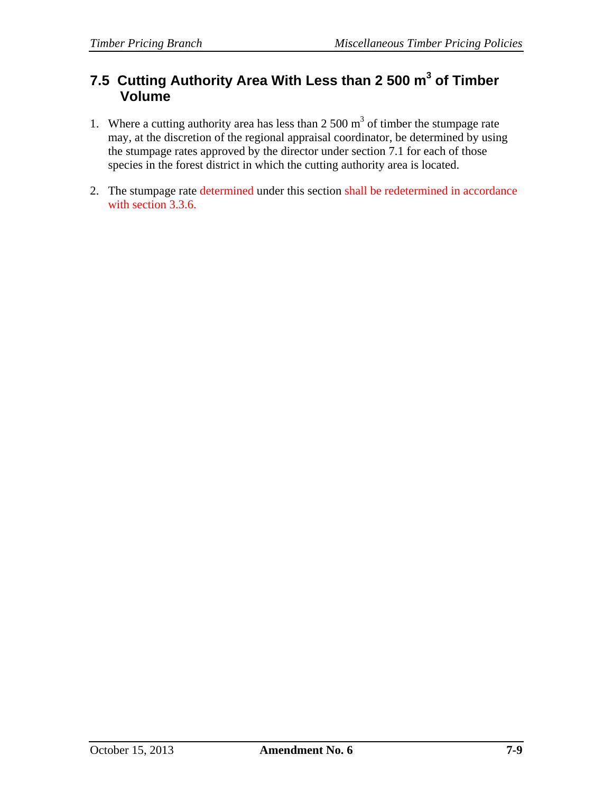### **7.5 Cutting Authority Area With Less than 2 500 m<sup>3</sup> of Timber Volume**

- 1. Where a cutting authority area has less than  $2500 \text{ m}^3$  of timber the stumpage rate may, at the discretion of the regional appraisal coordinator, be determined by using the stumpage rates approved by the director under section 7.1 for each of those species in the forest district in which the cutting authority area is located.
- 2. The stumpage rate determined under this section shall be redetermined in accordance with section 3.3.6.